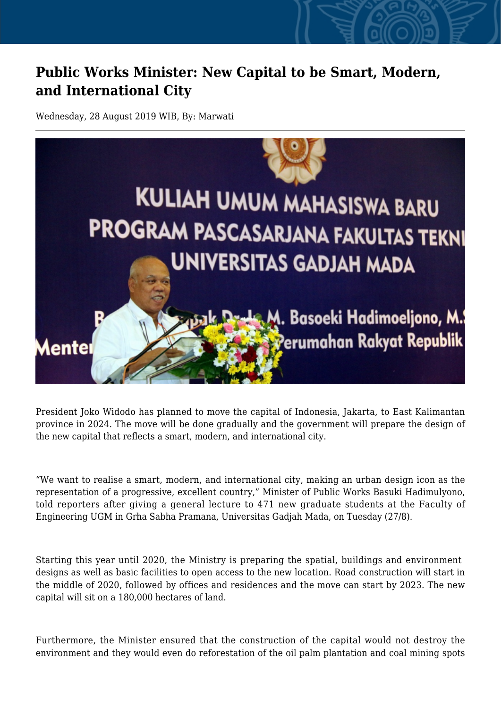## **Public Works Minister: New Capital to be Smart, Modern, and International City**

Wednesday, 28 August 2019 WIB, By: Marwati



President Joko Widodo has planned to move the capital of Indonesia, Jakarta, to East Kalimantan province in 2024. The move will be done gradually and the government will prepare the design of the new capital that reflects a smart, modern, and international city.

"We want to realise a smart, modern, and international city, making an urban design icon as the representation of a progressive, excellent country," Minister of Public Works Basuki Hadimulyono, told reporters after giving a general lecture to 471 new graduate students at the Faculty of Engineering UGM in Grha Sabha Pramana, Universitas Gadjah Mada, on Tuesday (27/8).

Starting this year until 2020, the Ministry is preparing the spatial, buildings and environment designs as well as basic facilities to open access to the new location. Road construction will start in the middle of 2020, followed by offices and residences and the move can start by 2023. The new capital will sit on a 180,000 hectares of land.

Furthermore, the Minister ensured that the construction of the capital would not destroy the environment and they would even do reforestation of the oil palm plantation and coal mining spots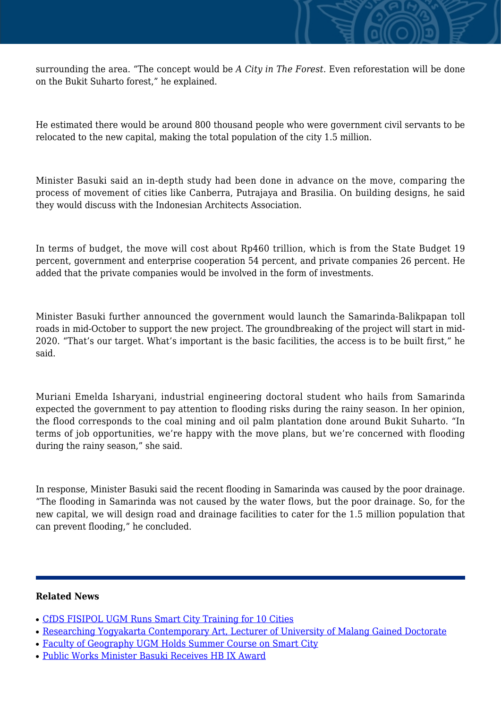

He estimated there would be around 800 thousand people who were government civil servants to be relocated to the new capital, making the total population of the city 1.5 million.

Minister Basuki said an in-depth study had been done in advance on the move, comparing the process of movement of cities like Canberra, Putrajaya and Brasilia. On building designs, he said they would discuss with the Indonesian Architects Association.

In terms of budget, the move will cost about Rp460 trillion, which is from the State Budget 19 percent, government and enterprise cooperation 54 percent, and private companies 26 percent. He added that the private companies would be involved in the form of investments.

Minister Basuki further announced the government would launch the Samarinda-Balikpapan toll roads in mid-October to support the new project. The groundbreaking of the project will start in mid-2020. "That's our target. What's important is the basic facilities, the access is to be built first," he said.

Muriani Emelda Isharyani, industrial engineering doctoral student who hails from Samarinda expected the government to pay attention to flooding risks during the rainy season. In her opinion, the flood corresponds to the coal mining and oil palm plantation done around Bukit Suharto. "In terms of job opportunities, we're happy with the move plans, but we're concerned with flooding during the rainy season," she said.

In response, Minister Basuki said the recent flooding in Samarinda was caused by the poor drainage. "The flooding in Samarinda was not caused by the water flows, but the poor drainage. So, for the new capital, we will design road and drainage facilities to cater for the 1.5 million population that can prevent flooding," he concluded.

## **Related News**

- [CfDS FISIPOL UGM Runs Smart City Training for 10 Cities](http://ugm.ac.id/www.ugm.ac.id//en/news/14473-faculty-of-geography-ugm-holds-summer-course-on-smart-city)
- [Researching Yogyakarta Contemporary Art, Lecturer of University of Malang Gained Doctorate](http://ugm.ac.id/www.ugm.ac.id//en/news/17536-public-works-minister-basuki-receives-hb-ix-award)
- [Faculty of Geography UGM Holds Summer Course on Smart City](http://ugm.ac.id/www.ugm.ac.id//en/news/12968-ugm-extends-collaboration-and-excellence-for-digitalisation)
- [Public Works Minister Basuki Receives HB IX Award](http://ugm.ac.id/www.ugm.ac.id//en/news/12654-cfds-fisipol-ugm-runs-smart-city-training-for-10-cities)